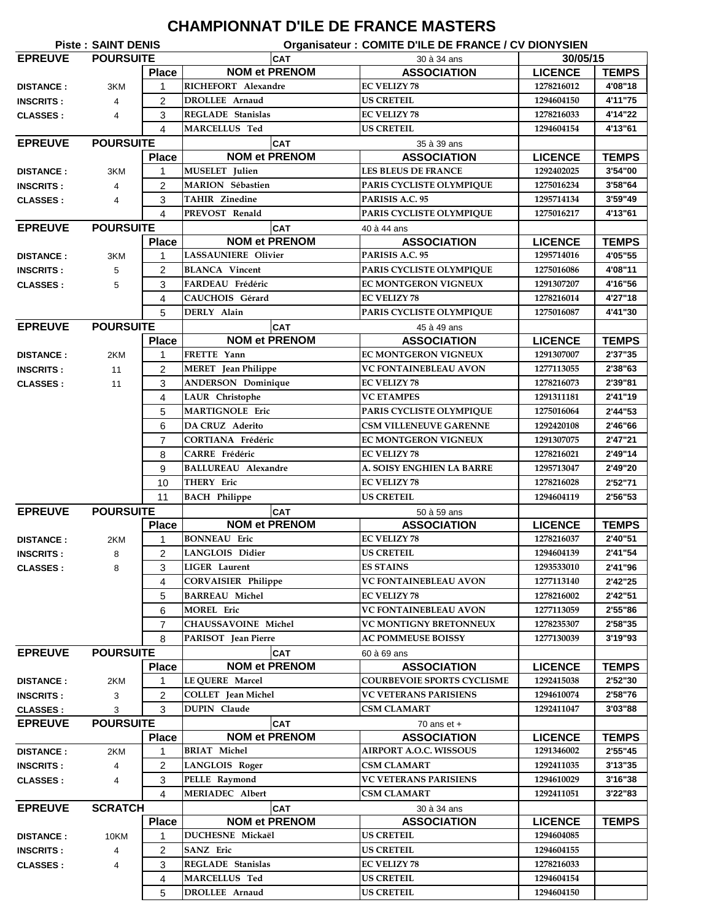## **CHAMPIONNAT D'ILE DE FRANCE MASTERS**

| <b>Piste: SAINT DENIS</b><br>Organisateur : COMITE D'ILE DE FRANCE / CV DIONYSIEN |                  |                |                            |                                   |                |              |  |
|-----------------------------------------------------------------------------------|------------------|----------------|----------------------------|-----------------------------------|----------------|--------------|--|
| <b>EPREUVE</b><br><b>POURSUITE</b>                                                |                  |                | CAT                        | 30 à 34 ans                       |                | 30/05/15     |  |
|                                                                                   |                  | <b>Place</b>   | <b>NOM et PRENOM</b>       | <b>ASSOCIATION</b>                | <b>LICENCE</b> | <b>TEMPS</b> |  |
| <b>DISTANCE:</b>                                                                  | 3KM              | 1              | RICHEFORT Alexandre        | <b>EC VELIZY 78</b>               | 1278216012     | 4'08"18      |  |
| <b>INSCRITS:</b>                                                                  | 4                | 2              | <b>DROLLEE</b> Arnaud      | <b>US CRETEIL</b>                 | 1294604150     | 4'11"75      |  |
| <b>CLASSES:</b>                                                                   | 4                | 3              | <b>REGLADE</b> Stanislas   | <b>EC VELIZY 78</b>               | 1278216033     | 4'14"22      |  |
|                                                                                   |                  | 4              | MARCELLUS Ted              | <b>US CRETEIL</b>                 | 1294604154     | 4'13"61      |  |
| <b>EPREUVE</b>                                                                    | <b>POURSUITE</b> |                | <b>CAT</b>                 | 35 à 39 ans                       |                |              |  |
|                                                                                   |                  | <b>Place</b>   | <b>NOM et PRENOM</b>       | <b>ASSOCIATION</b>                | <b>LICENCE</b> | <b>TEMPS</b> |  |
| <b>DISTANCE:</b>                                                                  | 3KM              | 1              | <b>MUSELET</b> Julien      | <b>LES BLEUS DE FRANCE</b>        | 1292402025     | 3'54"00      |  |
| <b>INSCRITS:</b>                                                                  | $\overline{4}$   | $\overline{2}$ | <b>MARION</b> Sébastien    | PARIS CYCLISTE OLYMPIQUE          | 1275016234     | 3'58"64      |  |
|                                                                                   |                  | 3              | <b>TAHIR Zinedine</b>      | PARISIS A.C. 95                   | 1295714134     | 3'59"49      |  |
| <b>CLASSES:</b>                                                                   | $\overline{4}$   |                |                            |                                   |                |              |  |
|                                                                                   |                  | 4              | PREVOST Renald             | PARIS CYCLISTE OLYMPIQUE          | 1275016217     | 4'13"61      |  |
| <b>EPREUVE</b>                                                                    | <b>POURSUITE</b> |                | CAT                        | 40 à 44 ans                       |                |              |  |
|                                                                                   |                  | <b>Place</b>   | <b>NOM et PRENOM</b>       | <b>ASSOCIATION</b>                | <b>LICENCE</b> | <b>TEMPS</b> |  |
| <b>DISTANCE:</b>                                                                  | 3KM              | 1              | <b>LASSAUNIERE Olivier</b> | PARISIS A.C. 95                   | 1295714016     | 4'05"55      |  |
| <b>INSCRITS:</b>                                                                  | 5                | 2              | <b>BLANCA</b> Vincent      | PARIS CYCLISTE OLYMPIQUE          | 1275016086     | 4'08"11      |  |
| <b>CLASSES:</b>                                                                   | 5                | 3              | FARDEAU Frédéric           | <b>EC MONTGERON VIGNEUX</b>       | 1291307207     | 4'16"56      |  |
|                                                                                   |                  | 4              | CAUCHOIS Gérard            | <b>EC VELIZY 78</b>               | 1278216014     | 4'27"18      |  |
|                                                                                   |                  | 5              | DERLY Alain                | PARIS CYCLISTE OLYMPIQUE          | 1275016087     | 4'41"30      |  |
| <b>EPREUVE</b>                                                                    | <b>POURSUITE</b> |                | <b>CAT</b>                 | 45 à 49 ans                       |                |              |  |
|                                                                                   |                  | <b>Place</b>   | <b>NOM et PRENOM</b>       | <b>ASSOCIATION</b>                | <b>LICENCE</b> | <b>TEMPS</b> |  |
| <b>DISTANCE:</b>                                                                  | 2KM              | 1              | FRETTE Yann                | <b>EC MONTGERON VIGNEUX</b>       | 1291307007     | 2'37"35      |  |
| <b>INSCRITS:</b>                                                                  | 11               | $\overline{2}$ | <b>MERET</b> Jean Philippe | <b>VC FONTAINEBLEAU AVON</b>      | 1277113055     | 2'38"63      |  |
| <b>CLASSES:</b>                                                                   | 11               | 3              | <b>ANDERSON Dominique</b>  | <b>EC VELIZY 78</b>               | 1278216073     | 2'39"81      |  |
|                                                                                   |                  | 4              | LAUR Christophe            | <b>VC ETAMPES</b>                 | 1291311181     | 2'41"19      |  |
|                                                                                   |                  | 5              | <b>MARTIGNOLE Eric</b>     | PARIS CYCLISTE OLYMPIQUE          | 1275016064     | 2'44"53      |  |
|                                                                                   |                  | 6              | <b>DA CRUZ Aderito</b>     | <b>CSM VILLENEUVE GARENNE</b>     | 1292420108     | 2'46"66      |  |
|                                                                                   |                  | 7              | <b>CORTIANA Frédéric</b>   | EC MONTGERON VIGNEUX              | 1291307075     | 2'47"21      |  |
|                                                                                   |                  | 8              | <b>CARRE</b> Frédéric      | <b>EC VELIZY 78</b>               | 1278216021     | 2'49"14      |  |
|                                                                                   |                  |                |                            |                                   |                | 2'49"20      |  |
|                                                                                   |                  | 9              | <b>BALLUREAU Alexandre</b> | A. SOISY ENGHIEN LA BARRE         | 1295713047     |              |  |
|                                                                                   |                  | 10             | <b>THERY Eric</b>          | <b>EC VELIZY 78</b>               | 1278216028     | 2'52"71      |  |
|                                                                                   |                  | 11             | <b>BACH</b> Philippe       | <b>US CRETEIL</b>                 | 1294604119     | 2'56"53      |  |
| <b>EPREUVE</b>                                                                    | <b>POURSUITE</b> |                | <b>CAT</b>                 | 50 à 59 ans                       |                |              |  |
|                                                                                   |                  | <b>Place</b>   | <b>NOM et PRENOM</b>       | <b>ASSOCIATION</b>                | <b>LICENCE</b> | <b>TEMPS</b> |  |
| <b>DISTANCE:</b>                                                                  | 2KM              | 1              | <b>BONNEAU</b> Eric        | <b>EC VELIZY 78</b>               | 1278216037     | 2'40"51      |  |
| <b>INSCRITS:</b>                                                                  | 8                | 2              | <b>LANGLOIS Didier</b>     | <b>US CRETEIL</b>                 | 1294604139     | 2'41"54      |  |
| <b>CLASSES:</b>                                                                   | 8                | 3              | <b>LIGER</b> Laurent       | <b>ES STAINS</b>                  | 1293533010     | 2'41"96      |  |
|                                                                                   |                  | 4              | <b>CORVAISIER Philippe</b> | VC FONTAINEBLEAU AVON             | 1277113140     | 2'42"25      |  |
|                                                                                   |                  | 5              | <b>BARREAU Michel</b>      | <b>EC VELIZY 78</b>               | 1278216002     | 2'42"51      |  |
|                                                                                   |                  | 6              | MOREL Eric                 | <b>VC FONTAINEBLEAU AVON</b>      | 1277113059     | 2'55"86      |  |
|                                                                                   |                  | $\overline{7}$ | <b>CHAUSSAVOINE Michel</b> | <b>VC MONTIGNY BRETONNEUX</b>     | 1278235307     | 2'58"35      |  |
|                                                                                   |                  | 8              | PARISOT Jean Pierre        | <b>AC POMMEUSE BOISSY</b>         | 1277130039     | 3'19"93      |  |
| <b>EPREUVE</b>                                                                    | <b>POURSUITE</b> |                | <b>CAT</b>                 | 60 à 69 ans                       |                |              |  |
|                                                                                   |                  | <b>Place</b>   | <b>NOM et PRENOM</b>       | <b>ASSOCIATION</b>                | <b>LICENCE</b> | <b>TEMPS</b> |  |
| <b>DISTANCE:</b>                                                                  | 2KM              | 1              | LE QUERE Marcel            | <b>COURBEVOIE SPORTS CYCLISME</b> | 1292415038     | 2'52"30      |  |
| <b>INSCRITS:</b>                                                                  | 3                | 2              | COLLET Jean Michel         | <b>VC VETERANS PARISIENS</b>      | 1294610074     | 2'58"76      |  |
| <b>CLASSES:</b>                                                                   | 3                | 3              | <b>DUPIN</b> Claude        | CSM CLAMART                       | 1292411047     | 3'03"88      |  |
| <b>EPREUVE</b>                                                                    | <b>POURSUITE</b> |                | <b>CAT</b>                 | 70 ans $et +$                     |                |              |  |
|                                                                                   |                  | <b>Place</b>   | <b>NOM et PRENOM</b>       | <b>ASSOCIATION</b>                | <b>LICENCE</b> | <b>TEMPS</b> |  |
| <b>DISTANCE:</b>                                                                  | 2KM              | 1              | <b>BRIAT Michel</b>        | <b>AIRPORT A.O.C. WISSOUS</b>     | 1291346002     | 2'55"45      |  |
|                                                                                   |                  |                | <b>LANGLOIS Roger</b>      | <b>CSM CLAMART</b>                | 1292411035     |              |  |
| <b>INSCRITS:</b>                                                                  | 4                | $\overline{c}$ |                            |                                   |                | 3'13''35     |  |
| <b>CLASSES:</b>                                                                   | 4                | 3              | PELLE Raymond              | <b>VC VETERANS PARISIENS</b>      | 1294610029     | 3'16"38      |  |
|                                                                                   |                  |                |                            |                                   |                |              |  |
|                                                                                   |                  | 4              | <b>MERIADEC</b> Albert     | CSM CLAMART                       | 1292411051     | 3'22"83      |  |
| <b>EPREUVE</b>                                                                    | <b>SCRATCH</b>   |                | <b>CAT</b>                 | 30 à 34 ans                       |                |              |  |
|                                                                                   |                  | <b>Place</b>   | <b>NOM et PRENOM</b>       | <b>ASSOCIATION</b>                | <b>LICENCE</b> | <b>TEMPS</b> |  |
| <b>DISTANCE:</b>                                                                  | 10KM             | 1              | DUCHESNE Mickaël           | <b>US CRETEIL</b>                 | 1294604085     |              |  |
| <b>INSCRITS:</b>                                                                  | 4                | 2              | <b>SANZ</b> Eric           | <b>US CRETEIL</b>                 | 1294604155     |              |  |
| <b>CLASSES:</b>                                                                   | 4                | 3              | REGLADE Stanislas          | <b>EC VELIZY 78</b>               | 1278216033     |              |  |
|                                                                                   |                  | 4              | <b>MARCELLUS Ted</b>       | <b>US CRETEIL</b>                 | 1294604154     |              |  |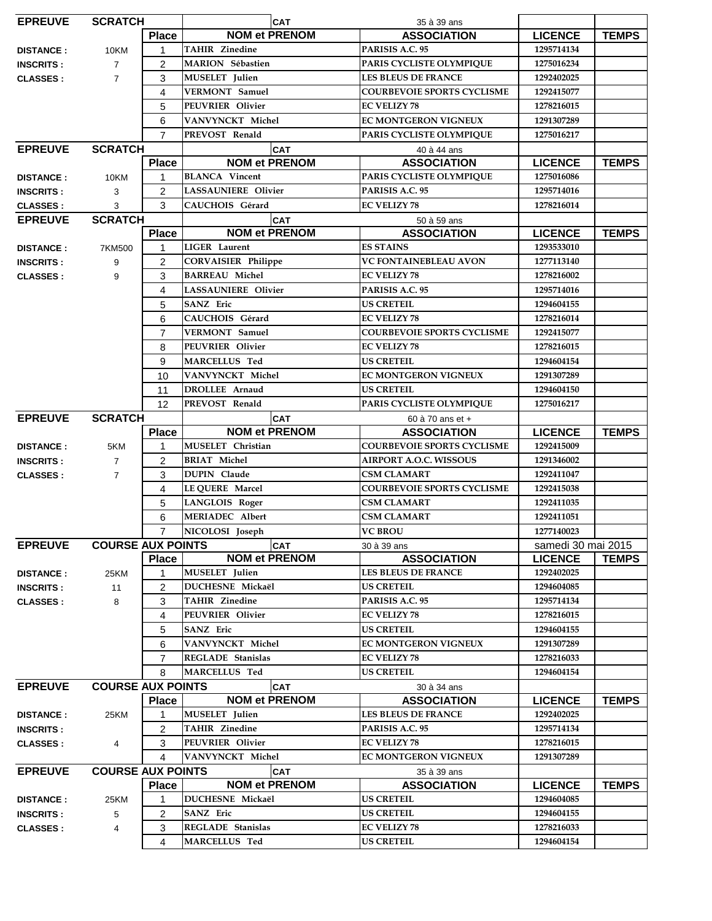| <b>EPREUVE</b><br><b>SCRATCH</b> |                          |                | <b>CAT</b>                               |  | 35 à 39 ans                       |                    |              |
|----------------------------------|--------------------------|----------------|------------------------------------------|--|-----------------------------------|--------------------|--------------|
|                                  |                          | <b>Place</b>   | <b>NOM et PRENOM</b>                     |  | <b>ASSOCIATION</b>                | <b>LICENCE</b>     | <b>TEMPS</b> |
| <b>DISTANCE:</b>                 | 10KM                     | $\mathbf 1$    | <b>TAHIR Zinedine</b>                    |  | PARISIS A.C. 95                   | 1295714134         |              |
| <b>INSCRITS:</b>                 | $\overline{7}$           | $\overline{2}$ | <b>MARION</b> Sébastien                  |  | PARIS CYCLISTE OLYMPIQUE          | 1275016234         |              |
| <b>CLASSES:</b>                  | $\overline{7}$           | 3              | MUSELET Julien                           |  | <b>LES BLEUS DE FRANCE</b>        | 1292402025         |              |
|                                  |                          | 4              | <b>VERMONT</b> Samuel                    |  | <b>COURBEVOIE SPORTS CYCLISME</b> | 1292415077         |              |
|                                  |                          | 5              | PEUVRIER Olivier                         |  | <b>EC VELIZY 78</b>               | 1278216015         |              |
|                                  |                          | 6              | VANVYNCKT Michel                         |  | EC MONTGERON VIGNEUX              | 1291307289         |              |
|                                  |                          | $\overline{7}$ | PREVOST Renald                           |  | PARIS CYCLISTE OLYMPIQUE          | 1275016217         |              |
| <b>EPREUVE</b>                   | <b>SCRATCH</b>           |                | <b>CAT</b>                               |  | 40 à 44 ans                       |                    |              |
|                                  |                          | <b>Place</b>   | <b>NOM et PRENOM</b>                     |  | <b>ASSOCIATION</b>                | <b>LICENCE</b>     | <b>TEMPS</b> |
| <b>DISTANCE:</b>                 | 10KM                     | 1              | <b>BLANCA</b> Vincent                    |  | PARIS CYCLISTE OLYMPIQUE          | 1275016086         |              |
| <b>INSCRITS:</b>                 | 3                        | $\overline{c}$ | <b>LASSAUNIERE Olivier</b>               |  | PARISIS A.C. 95                   | 1295714016         |              |
| <b>CLASSES:</b>                  | 3                        | 3              | CAUCHOIS Gérard                          |  | <b>EC VELIZY 78</b>               | 1278216014         |              |
| <b>EPREUVE</b>                   | <b>SCRATCH</b>           |                | <b>CAT</b>                               |  | 50 à 59 ans                       |                    |              |
|                                  |                          | <b>Place</b>   | <b>NOM et PRENOM</b>                     |  | <b>ASSOCIATION</b>                | <b>LICENCE</b>     | <b>TEMPS</b> |
| <b>DISTANCE:</b>                 | 7KM500                   | $\mathbf{1}$   | <b>LIGER</b> Laurent                     |  | <b>ES STAINS</b>                  | 1293533010         |              |
| <b>INSCRITS:</b>                 | 9                        | 2              | <b>CORVAISIER Philippe</b>               |  | VC FONTAINEBLEAU AVON             | 1277113140         |              |
| <b>CLASSES:</b>                  | 9                        | 3              | <b>BARREAU Michel</b>                    |  | <b>EC VELIZY 78</b>               | 1278216002         |              |
|                                  |                          | 4              | LASSAUNIERE Olivier                      |  | PARISIS A.C. 95                   | 1295714016         |              |
|                                  |                          | 5              | SANZ Eric                                |  | <b>US CRETEIL</b>                 | 1294604155         |              |
|                                  |                          | 6              | CAUCHOIS Gérard                          |  | <b>EC VELIZY 78</b>               | 1278216014         |              |
|                                  |                          | $\overline{7}$ | <b>VERMONT</b> Samuel                    |  | <b>COURBEVOIE SPORTS CYCLISME</b> | 1292415077         |              |
|                                  |                          | 8              |                                          |  | <b>EC VELIZY 78</b>               | 1278216015         |              |
|                                  |                          | 9              | PEUVRIER Olivier<br><b>MARCELLUS Ted</b> |  | <b>US CRETEIL</b>                 | 1294604154         |              |
|                                  |                          | 10             | VANVYNCKT Michel                         |  | <b>EC MONTGERON VIGNEUX</b>       | 1291307289         |              |
|                                  |                          | 11             | <b>DROLLEE</b> Arnaud                    |  | <b>US CRETEIL</b>                 | 1294604150         |              |
|                                  |                          | 12             | PREVOST Renald                           |  | PARIS CYCLISTE OLYMPIQUE          | 1275016217         |              |
| <b>EPREUVE</b>                   | <b>SCRATCH</b>           |                | <b>CAT</b>                               |  | 60 à 70 ans et +                  |                    |              |
|                                  |                          | <b>Place</b>   | <b>NOM et PRENOM</b>                     |  | <b>ASSOCIATION</b>                | <b>LICENCE</b>     | <b>TEMPS</b> |
| <b>DISTANCE:</b>                 | 5KM                      | 1              | MUSELET Christian                        |  | <b>COURBEVOIE SPORTS CYCLISME</b> | 1292415009         |              |
| <b>INSCRITS:</b>                 | $\overline{7}$           | $\overline{c}$ | <b>BRIAT Michel</b>                      |  | <b>AIRPORT A.O.C. WISSOUS</b>     | 1291346002         |              |
| <b>CLASSES:</b>                  | $\overline{7}$           | 3              | <b>DUPIN</b> Claude                      |  | <b>CSM CLAMART</b>                | 1292411047         |              |
|                                  |                          | 4              | LE QUERE Marcel                          |  | <b>COURBEVOIE SPORTS CYCLISME</b> | 1292415038         |              |
|                                  |                          | 5              | <b>LANGLOIS Roger</b><br>MERIADEC Albert |  | <b>CSM CLAMART</b>                | 1292411035         |              |
|                                  |                          | 6              |                                          |  | <b>CSM CLAMART</b>                | 1292411051         |              |
|                                  |                          | 7              | NICOLOSI Joseph                          |  | <b>VC BROU</b>                    | 1277140023         |              |
| <b>EPREUVE</b>                   | <b>COURSE AUX POINTS</b> |                | <b>CAT</b>                               |  | 30 à 39 ans                       | samedi 30 mai 2015 |              |
|                                  |                          | <b>Place</b>   | <b>NOM et PRENOM</b>                     |  | <b>ASSOCIATION</b>                | <b>LICENCE</b>     | <b>TEMPS</b> |
| <b>DISTANCE:</b>                 | 25KM                     | $\mathbf{1}$   | <b>MUSELET</b> Julien                    |  | <b>LES BLEUS DE FRANCE</b>        | 1292402025         |              |
| <b>INSCRITS:</b>                 | 11                       | 2              | <b>DUCHESNE Mickaël</b>                  |  | <b>US CRETEIL</b>                 | 1294604085         |              |
| <b>CLASSES:</b>                  | 8                        | 3              | <b>TAHIR Zinedine</b>                    |  | PARISIS A.C. 95                   | 1295714134         |              |
|                                  |                          | 4              | PEUVRIER Olivier                         |  | <b>EC VELIZY 78</b>               | 1278216015         |              |
|                                  |                          | 5              | SANZ Eric                                |  | US CRETEIL                        | 1294604155         |              |
|                                  |                          | 6              | VANVYNCKT Michel                         |  | <b>EC MONTGERON VIGNEUX</b>       | 1291307289         |              |
|                                  |                          | 7              | <b>REGLADE</b> Stanislas                 |  | <b>EC VELIZY 78</b>               | 1278216033         |              |
|                                  |                          | 8              | <b>MARCELLUS Ted</b>                     |  | US CRETEIL                        | 1294604154         |              |
| <b>EPREUVE</b>                   | <b>COURSE AUX POINTS</b> |                | <b>CAT</b>                               |  | 30 à 34 ans                       |                    |              |
|                                  |                          | <b>Place</b>   | <b>NOM et PRENOM</b>                     |  | <b>ASSOCIATION</b>                | <b>LICENCE</b>     | <b>TEMPS</b> |
| <b>DISTANCE:</b>                 | 25KM                     | 1              | MUSELET Julien                           |  | <b>LES BLEUS DE FRANCE</b>        | 1292402025         |              |
| <b>INSCRITS:</b>                 |                          | 2              | <b>TAHIR Zinedine</b>                    |  | PARISIS A.C. 95                   | 1295714134         |              |
| <b>CLASSES:</b>                  | 4                        | 3              | PEUVRIER Olivier                         |  | <b>EC VELIZY 78</b>               | 1278216015         |              |
|                                  |                          | 4              | VANVYNCKT Michel                         |  | EC MONTGERON VIGNEUX              | 1291307289         |              |
| <b>EPREUVE</b>                   | <b>COURSE AUX POINTS</b> |                | <b>CAT</b>                               |  | 35 à 39 ans                       |                    |              |
|                                  |                          | <b>Place</b>   | <b>NOM et PRENOM</b>                     |  | <b>ASSOCIATION</b>                | <b>LICENCE</b>     | <b>TEMPS</b> |
| <b>DISTANCE:</b>                 | 25KM                     | 1              | <b>DUCHESNE Mickaël</b>                  |  | <b>US CRETEIL</b>                 | 1294604085         |              |
| <b>INSCRITS:</b>                 | 5                        | 2              | SANZ Eric                                |  | US CRETEIL                        | 1294604155         |              |
| <b>CLASSES:</b>                  | 4                        | 3              | <b>REGLADE</b> Stanislas                 |  | <b>EC VELIZY 78</b>               | 1278216033         |              |
|                                  |                          | 4              | MARCELLUS Ted                            |  | <b>US CRETEIL</b>                 | 1294604154         |              |
|                                  |                          |                |                                          |  |                                   |                    |              |